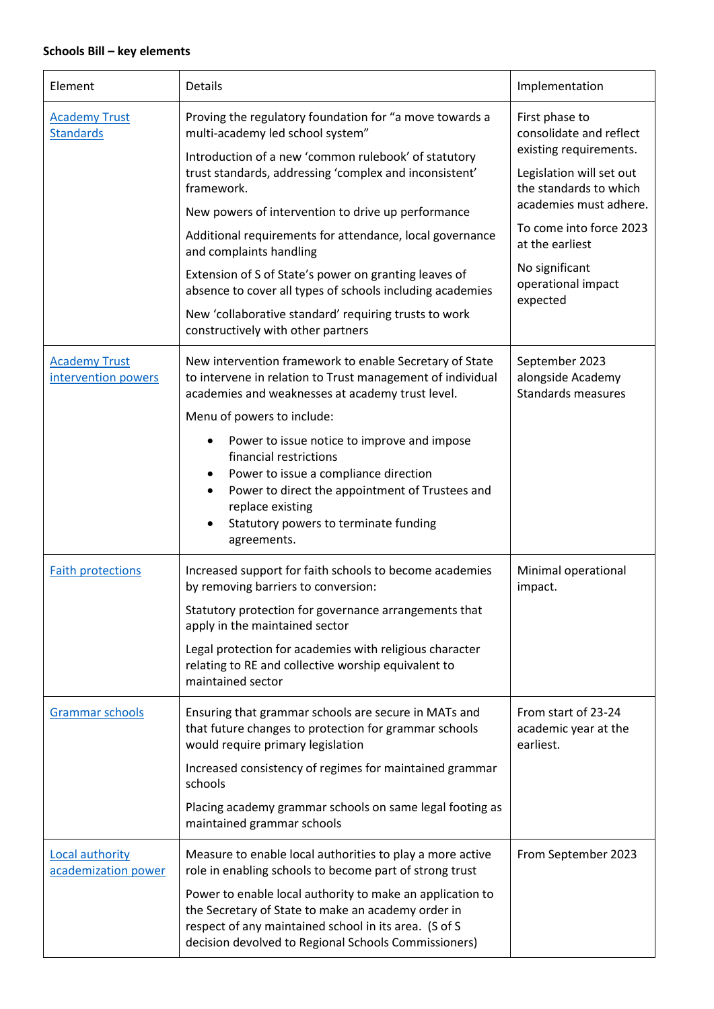## **Schools Bill – key elements**

| Element                                     | Details                                                                                                                                                                                                                                                                 | Implementation                                                               |
|---------------------------------------------|-------------------------------------------------------------------------------------------------------------------------------------------------------------------------------------------------------------------------------------------------------------------------|------------------------------------------------------------------------------|
| <b>Academy Trust</b><br><b>Standards</b>    | Proving the regulatory foundation for "a move towards a<br>multi-academy led school system"                                                                                                                                                                             | First phase to<br>consolidate and reflect<br>existing requirements.          |
|                                             | Introduction of a new 'common rulebook' of statutory<br>trust standards, addressing 'complex and inconsistent'<br>framework.                                                                                                                                            | Legislation will set out<br>the standards to which<br>academies must adhere. |
|                                             | New powers of intervention to drive up performance                                                                                                                                                                                                                      | To come into force 2023                                                      |
|                                             | Additional requirements for attendance, local governance<br>and complaints handling                                                                                                                                                                                     | at the earliest                                                              |
|                                             | Extension of S of State's power on granting leaves of<br>absence to cover all types of schools including academies                                                                                                                                                      | No significant<br>operational impact<br>expected                             |
|                                             | New 'collaborative standard' requiring trusts to work<br>constructively with other partners                                                                                                                                                                             |                                                                              |
| <b>Academy Trust</b><br>intervention powers | New intervention framework to enable Secretary of State<br>to intervene in relation to Trust management of individual<br>academies and weaknesses at academy trust level.                                                                                               | September 2023<br>alongside Academy<br><b>Standards measures</b>             |
|                                             | Menu of powers to include:                                                                                                                                                                                                                                              |                                                                              |
|                                             | Power to issue notice to improve and impose<br>$\bullet$<br>financial restrictions<br>Power to issue a compliance direction<br>Power to direct the appointment of Trustees and<br>$\bullet$<br>replace existing<br>Statutory powers to terminate funding<br>agreements. |                                                                              |
| <b>Faith protections</b>                    | Increased support for faith schools to become academies<br>by removing barriers to conversion:                                                                                                                                                                          | Minimal operational<br>impact.                                               |
|                                             | Statutory protection for governance arrangements that<br>apply in the maintained sector                                                                                                                                                                                 |                                                                              |
|                                             | Legal protection for academies with religious character<br>relating to RE and collective worship equivalent to<br>maintained sector                                                                                                                                     |                                                                              |
| Grammar schools                             | Ensuring that grammar schools are secure in MATs and<br>that future changes to protection for grammar schools<br>would require primary legislation                                                                                                                      | From start of 23-24<br>academic year at the<br>earliest.                     |
|                                             | Increased consistency of regimes for maintained grammar<br>schools                                                                                                                                                                                                      |                                                                              |
|                                             | Placing academy grammar schools on same legal footing as<br>maintained grammar schools                                                                                                                                                                                  |                                                                              |
| Local authority<br>academization power      | Measure to enable local authorities to play a more active<br>role in enabling schools to become part of strong trust                                                                                                                                                    | From September 2023                                                          |
|                                             | Power to enable local authority to make an application to<br>the Secretary of State to make an academy order in<br>respect of any maintained school in its area. (S of S<br>decision devolved to Regional Schools Commissioners)                                        |                                                                              |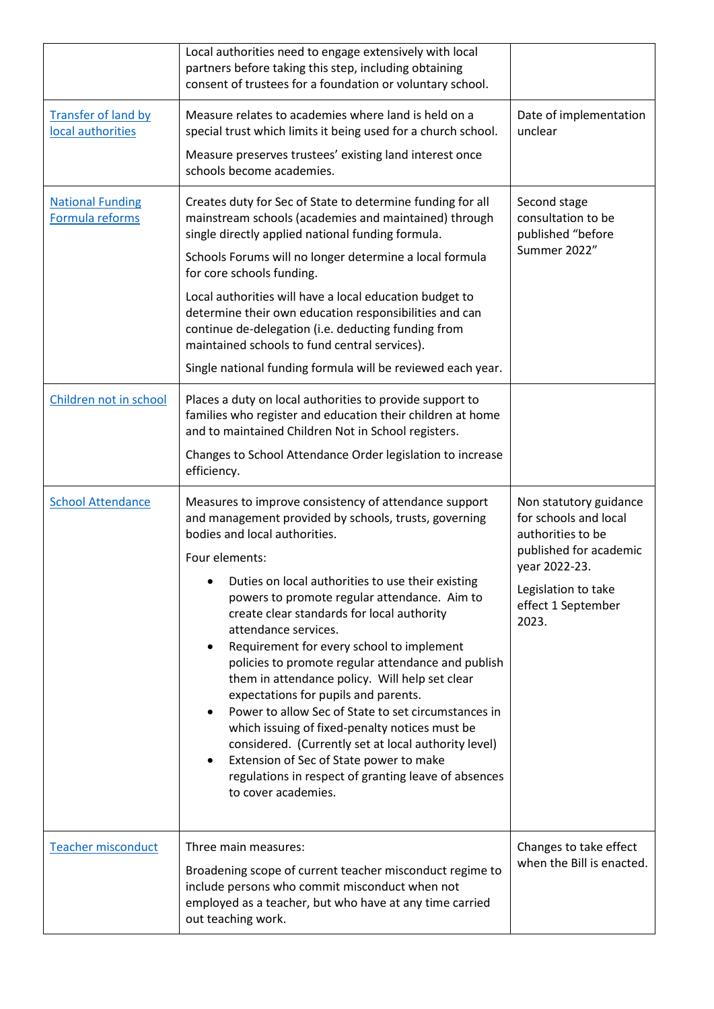|                                                 | Local authorities need to engage extensively with local<br>partners before taking this step, including obtaining<br>consent of trustees for a foundation or voluntary school.                                                                                                                                                                             |                                                                      |
|-------------------------------------------------|-----------------------------------------------------------------------------------------------------------------------------------------------------------------------------------------------------------------------------------------------------------------------------------------------------------------------------------------------------------|----------------------------------------------------------------------|
| <b>Transfer of land by</b><br>local authorities | Measure relates to academies where land is held on a<br>special trust which limits it being used for a church school.                                                                                                                                                                                                                                     | Date of implementation<br>unclear                                    |
|                                                 | Measure preserves trustees' existing land interest once<br>schools become academies.                                                                                                                                                                                                                                                                      |                                                                      |
| <b>National Funding</b><br>Formula reforms      | Creates duty for Sec of State to determine funding for all<br>mainstream schools (academies and maintained) through<br>single directly applied national funding formula.                                                                                                                                                                                  | Second stage<br>consultation to be<br>published "before              |
|                                                 | Schools Forums will no longer determine a local formula<br>for core schools funding.                                                                                                                                                                                                                                                                      | Summer 2022"                                                         |
|                                                 | Local authorities will have a local education budget to<br>determine their own education responsibilities and can<br>continue de-delegation (i.e. deducting funding from<br>maintained schools to fund central services).                                                                                                                                 |                                                                      |
|                                                 | Single national funding formula will be reviewed each year.                                                                                                                                                                                                                                                                                               |                                                                      |
| Children not in school                          | Places a duty on local authorities to provide support to<br>families who register and education their children at home<br>and to maintained Children Not in School registers.                                                                                                                                                                             |                                                                      |
|                                                 | Changes to School Attendance Order legislation to increase<br>efficiency.                                                                                                                                                                                                                                                                                 |                                                                      |
|                                                 |                                                                                                                                                                                                                                                                                                                                                           |                                                                      |
| <b>School Attendance</b>                        | Measures to improve consistency of attendance support<br>and management provided by schools, trusts, governing<br>bodies and local authorities.                                                                                                                                                                                                           | Non statutory guidance<br>for schools and local<br>authorities to be |
|                                                 | Four elements:                                                                                                                                                                                                                                                                                                                                            | published for academic<br>year 2022-23.                              |
|                                                 | Duties on local authorities to use their existing<br>powers to promote regular attendance. Aim to<br>create clear standards for local authority<br>attendance services.<br>$\bullet$                                                                                                                                                                      | Legislation to take<br>effect 1 September<br>2023.                   |
|                                                 | Requirement for every school to implement<br>policies to promote regular attendance and publish<br>them in attendance policy. Will help set clear                                                                                                                                                                                                         |                                                                      |
|                                                 | expectations for pupils and parents.<br>Power to allow Sec of State to set circumstances in<br>$\bullet$<br>which issuing of fixed-penalty notices must be<br>considered. (Currently set at local authority level)<br>Extension of Sec of State power to make<br>$\bullet$<br>regulations in respect of granting leave of absences<br>to cover academies. |                                                                      |
| <b>Teacher misconduct</b>                       | Three main measures:<br>Broadening scope of current teacher misconduct regime to<br>include persons who commit misconduct when not<br>employed as a teacher, but who have at any time carried<br>out teaching work.                                                                                                                                       | Changes to take effect<br>when the Bill is enacted.                  |